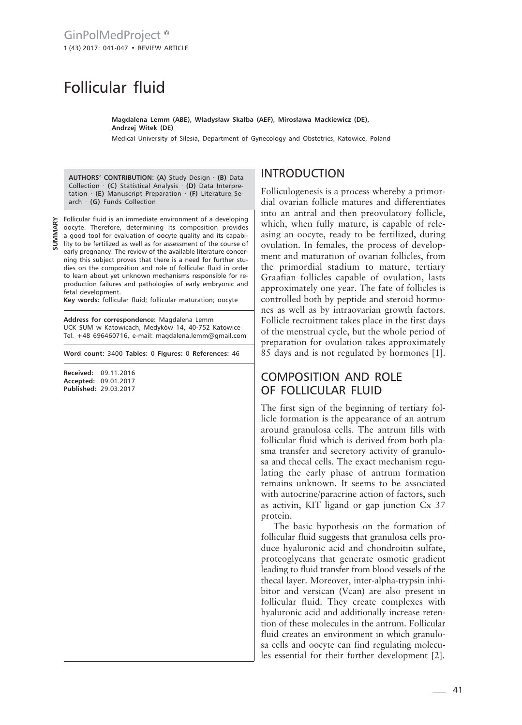## Follicular fluid

**Magdalena Lemm (ABE), Władysław Skałba (AEF), Mirosława Mackiewicz (DE), Andrzej Witek (DE)**

Medical University of Silesia, Department of Gynecology and Obstetrics, Katowice, Poland

**AUTHORS' CONTRIBUTION: (A)** Study Design · **(B)** Data Collection · **(C)** Statistical Analysis · **(D)** Data Interpretation · **(E)** Manuscript Preparation · **(F)** Literature Search · **(G)** Funds Collection

**SUMMARY**

Follicular fluid is an immediate environment of a developing oocyte. Therefore, determining its composition provides a good tool for evaluation of oocyte quality and its capability to be fertilized as well as for assessment of the course of early pregnancy. The review of the available literature concerning this subject proves that there is a need for further studies on the composition and role of follicular fluid in order to learn about yet unknown mechanisms responsible for re-

production failures and pathologies of early embryonic and fetal development. **Key words:** follicular fluid; follicular maturation; oocyte

**Address for correspondence:** Magdalena Lemm UCK SUM w Katowicach, Medyków 14, 40-752 Katowice Tel. +48 696460716, e-mail: magdalena.lemm@gmail.com

**Word count:** 3400 **Tables:** 0 **Figures:** 0 **References:** 46

**Received:** 09.11.2016 **Accepted:** 09.01.2017 **Published:** 29.03.2017

## INTRODUCTION

Folliculogenesis is a process whereby a primordial ovarian follicle matures and differentiates into an antral and then preovulatory follicle, which, when fully mature, is capable of releasing an oocyte, ready to be fertilized, during ovulation. In females, the process of development and maturation of ovarian follicles, from the primordial stadium to mature, tertiary Graafian follicles capable of ovulation, lasts approximately one year. The fate of follicles is controlled both by peptide and steroid hormones as well as by intraovarian growth factors. Follicle recruitment takes place in the first days of the menstrual cycle, but the whole period of preparation for ovulation takes approximately 85 days and is not regulated by hormones [1].

## COMPOSITION AND ROLE OF FOLLICULAR FLUID

The first sign of the beginning of tertiary follicle formation is the appearance of an antrum around granulosa cells. The antrum fills with follicular fluid which is derived from both plasma transfer and secretory activity of granulosa and thecal cells. The exact mechanism regulating the early phase of antrum formation remains unknown. It seems to be associated with autocrine/paracrine action of factors, such as activin, KIT ligand or gap junction Cx 37 protein.

The basic hypothesis on the formation of follicular fluid suggests that granulosa cells produce hyaluronic acid and chondroitin sulfate, proteoglycans that generate osmotic gradient leading to fluid transfer from blood vessels of the thecal layer. Moreover, inter-alpha-trypsin inhibitor and versican (Vcan) are also present in follicular fluid. They create complexes with hyaluronic acid and additionally increase retention of these molecules in the antrum. Follicular fluid creates an environment in which granulosa cells and oocyte can find regulating molecules essential for their further development [2].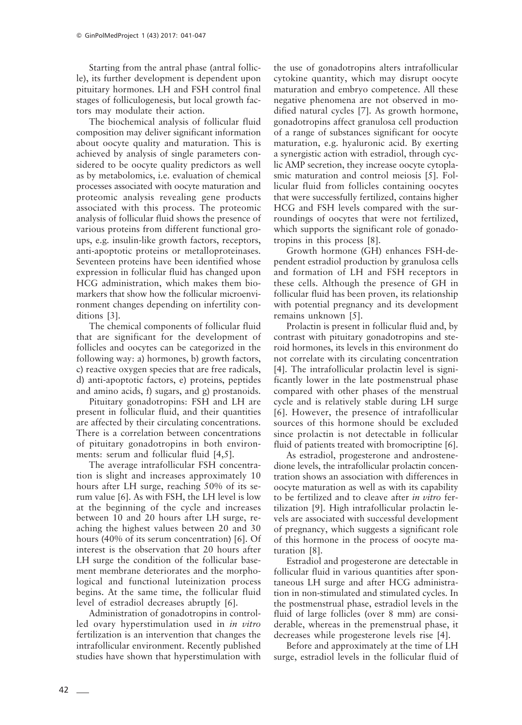Starting from the antral phase (antral follicle), its further development is dependent upon pituitary hormones. LH and FSH control final stages of folliculogenesis, but local growth factors may modulate their action.

The biochemical analysis of follicular fluid composition may deliver significant information about oocyte quality and maturation. This is achieved by analysis of single parameters considered to be oocyte quality predictors as well as by metabolomics, i.e. evaluation of chemical processes associated with oocyte maturation and proteomic analysis revealing gene products associated with this process. The proteomic analysis of follicular fluid shows the presence of various proteins from different functional groups, e.g. insulin-like growth factors, receptors, anti-apoptotic proteins or metalloproteinases. Seventeen proteins have been identified whose expression in follicular fluid has changed upon HCG administration, which makes them biomarkers that show how the follicular microenvironment changes depending on infertility conditions [3].

The chemical components of follicular fluid that are significant for the development of follicles and oocytes can be categorized in the following way: a) hormones, b) growth factors, c) reactive oxygen species that are free radicals, d) anti-apoptotic factors, e) proteins, peptides and amino acids, f) sugars, and g) prostanoids.

Pituitary gonadotropins: FSH and LH are present in follicular fluid, and their quantities are affected by their circulating concentrations. There is a correlation between concentrations of pituitary gonadotropins in both environments: serum and follicular fluid [4,5].

The average intrafollicular FSH concentration is slight and increases approximately 10 hours after LH surge, reaching 50% of its serum value [6]. As with FSH, the LH level is low at the beginning of the cycle and increases between 10 and 20 hours after LH surge, reaching the highest values between 20 and 30 hours (40% of its serum concentration) [6]. Of interest is the observation that 20 hours after LH surge the condition of the follicular basement membrane deteriorates and the morphological and functional luteinization process begins. At the same time, the follicular fluid level of estradiol decreases abruptly [6].

Administration of gonadotropins in controlled ovary hyperstimulation used in *in vitro* fertilization is an intervention that changes the intrafollicular environment. Recently published studies have shown that hyperstimulation with the use of gonadotropins alters intrafollicular cytokine quantity, which may disrupt oocyte maturation and embryo competence. All these negative phenomena are not observed in modified natural cycles [7]. As growth hormone, gonadotropins affect granulosa cell production of a range of substances significant for oocyte maturation, e.g. hyaluronic acid. By exerting a synergistic action with estradiol, through cyclic AMP secretion, they increase oocyte cytoplasmic maturation and control meiosis [5]. Follicular fluid from follicles containing oocytes that were successfully fertilized, contains higher HCG and FSH levels compared with the surroundings of oocytes that were not fertilized, which supports the significant role of gonadotropins in this process [8].

Growth hormone (GH) enhances FSH-dependent estradiol production by granulosa cells and formation of LH and FSH receptors in these cells. Although the presence of GH in follicular fluid has been proven, its relationship with potential pregnancy and its development remains unknown [5].

Prolactin is present in follicular fluid and, by contrast with pituitary gonadotropins and steroid hormones, its levels in this environment do not correlate with its circulating concentration [4]. The intrafollicular prolactin level is significantly lower in the late postmenstrual phase compared with other phases of the menstrual cycle and is relatively stable during LH surge [6]. However, the presence of intrafollicular sources of this hormone should be excluded since prolactin is not detectable in follicular fluid of patients treated with bromocriptine [6].

As estradiol, progesterone and androstenedione levels, the intrafollicular prolactin concentration shows an association with differences in oocyte maturation as well as with its capability to be fertilized and to cleave after *in vitro* fertilization [9]. High intrafollicular prolactin levels are associated with successful development of pregnancy, which suggests a significant role of this hormone in the process of oocyte maturation [8].

Estradiol and progesterone are detectable in follicular fluid in various quantities after spontaneous LH surge and after HCG administration in non-stimulated and stimulated cycles. In the postmenstrual phase, estradiol levels in the fluid of large follicles (over 8 mm) are considerable, whereas in the premenstrual phase, it decreases while progesterone levels rise [4].

Before and approximately at the time of LH surge, estradiol levels in the follicular fluid of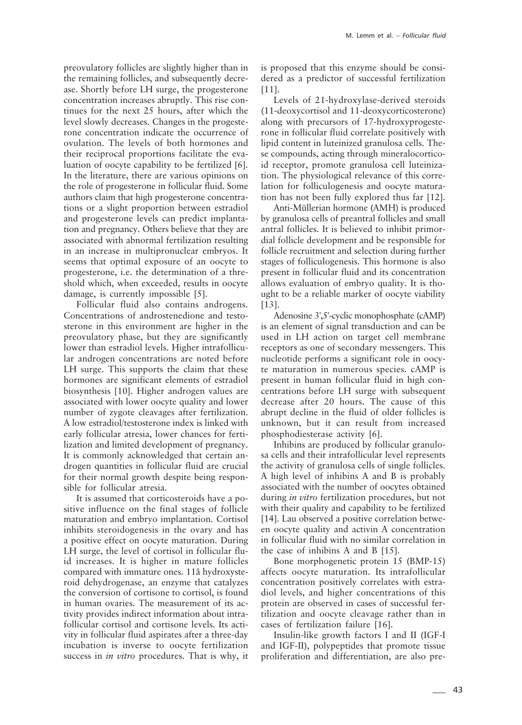preovulatory follicles are slightly higher than in the remaining follicles, and subsequently decrease. Shortly before LH surge, the progesterone concentration increases abruptly. This rise continues for the next 25 hours, after which the level slowly decreases. Changes in the progesterone concentration indicate the occurrence of ovulation. The levels of both hormones and their reciprocal proportions facilitate the evaluation of oocyte capability to be fertilized [6]. In the literature, there are various opinions on the role of progesterone in follicular fluid. Some authors claim that high progesterone concentrations or a slight proportion between estradiol and progesterone levels can predict implantation and pregnancy. Others believe that they are associated with abnormal fertilization resulting in an increase in multipronuclear embryos. It seems that optimal exposure of an oocyte to progesterone, i.e. the determination of a threshold which, when exceeded, results in oocyte damage, is currently impossible [5].

Follicular fluid also contains androgens. Concentrations of androstenedione and testosterone in this environment are higher in the preovulatory phase, but they are significantly lower than estradiol levels. Higher intrafollicular androgen concentrations are noted before LH surge. This supports the claim that these hormones are significant elements of estradiol biosynthesis [10]. Higher androgen values are associated with lower oocyte quality and lower number of zygote cleavages after fertilization. A low estradiol/testosterone index is linked with early follicular atresia, lower chances for fertilization and limited development of pregnancy. It is commonly acknowledged that certain androgen quantities in follicular fluid are crucial for their normal growth despite being responsible for follicular atresia.

It is assumed that corticosteroids have a positive influence on the final stages of follicle maturation and embryo implantation. Cortisol inhibits steroidogenesis in the ovary and has a positive effect on oocyte maturation. During LH surge, the level of cortisol in follicular fluid increases. It is higher in mature follicles compared with immature ones. 11â hydroxysteroid dehydrogenase, an enzyme that catalyzes the conversion of cortisone to cortisol, is found in human ovaries. The measurement of its activity provides indirect information about intrafollicular cortisol and cortisone levels. Its activity in follicular fluid aspirates after a three-day incubation is inverse to oocyte fertilization success in *in vitro* procedures. That is why, it is proposed that this enzyme should be considered as a predictor of successful fertilization [11].

Levels of 21-hydroxylase-derived steroids (11-deoxycortisol and 11-deoxycorticosterone) along with precursors of 17-hydroxyprogesterone in follicular fluid correlate positively with lipid content in luteinized granulosa cells. These compounds, acting through mineralocorticoid receptor, promote granulosa cell luteinization. The physiological relevance of this correlation for folliculogenesis and oocyte maturation has not been fully explored thus far [12].

Anti-Müllerian hormone (AMH) is produced by granulosa cells of preantral follicles and small antral follicles. It is believed to inhibit primordial follicle development and be responsible for follicle recruitment and selection during further stages of folliculogenesis. This hormone is also present in follicular fluid and its concentration allows evaluation of embryo quality. It is thought to be a reliable marker of oocyte viability [13].

Adenosine 3',5'-cyclic monophosphate (cAMP) is an element of signal transduction and can be used in LH action on target cell membrane receptors as one of secondary messengers. This nucleotide performs a significant role in oocyte maturation in numerous species. cAMP is present in human follicular fluid in high concentrations before LH surge with subsequent decrease after 20 hours. The cause of this abrupt decline in the fluid of older follicles is unknown, but it can result from increased phosphodiesterase activity [6].

Inhibins are produced by follicular granulosa cells and their intrafollicular level represents the activity of granulosa cells of single follicles. A high level of inhibins A and B is probably associated with the number of oocytes obtained during *in vitro* fertilization procedures, but not with their quality and capability to be fertilized [14]. Lau observed a positive correlation between oocyte quality and activin A concentration in follicular fluid with no similar correlation in the case of inhibins A and B [15].

Bone morphogenetic protein 15 (BMP-15) affects oocyte maturation. Its intrafollicular concentration positively correlates with estradiol levels, and higher concentrations of this protein are observed in cases of successful fertilization and oocyte cleavage rather than in cases of fertilization failure [16].

Insulin-like growth factors I and II (IGF-I and IGF-II), polypeptides that promote tissue proliferation and differentiation, are also pre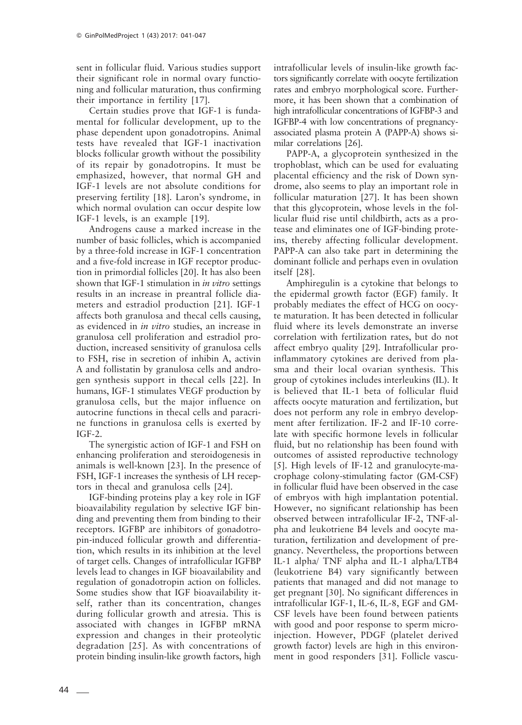sent in follicular fluid. Various studies support their significant role in normal ovary functioning and follicular maturation, thus confirming their importance in fertility [17].

Certain studies prove that IGF-1 is fundamental for follicular development, up to the phase dependent upon gonadotropins. Animal tests have revealed that IGF-1 inactivation blocks follicular growth without the possibility of its repair by gonadotropins. It must be emphasized, however, that normal GH and IGF-1 levels are not absolute conditions for preserving fertility [18]. Laron's syndrome, in which normal ovulation can occur despite low IGF-1 levels, is an example [19].

Androgens cause a marked increase in the number of basic follicles, which is accompanied by a three-fold increase in IGF-1 concentration and a five-fold increase in IGF receptor production in primordial follicles [20]. It has also been shown that IGF-1 stimulation in *in vitro* settings results in an increase in preantral follicle diameters and estradiol production [21]. IGF-1 affects both granulosa and thecal cells causing, as evidenced in *in vitro* studies, an increase in granulosa cell proliferation and estradiol production, increased sensitivity of granulosa cells to FSH, rise in secretion of inhibin A, activin A and follistatin by granulosa cells and androgen synthesis support in thecal cells [22]. In humans, IGF-1 stimulates VEGF production by granulosa cells, but the major influence on autocrine functions in thecal cells and paracrine functions in granulosa cells is exerted by IGF-2.

The synergistic action of IGF-1 and FSH on enhancing proliferation and steroidogenesis in animals is well-known [23]. In the presence of FSH, IGF-1 increases the synthesis of LH receptors in thecal and granulosa cells [24].

IGF-binding proteins play a key role in IGF bioavailability regulation by selective IGF binding and preventing them from binding to their receptors. IGFBP are inhibitors of gonadotropin-induced follicular growth and differentiation, which results in its inhibition at the level of target cells. Changes of intrafollicular IGFBP levels lead to changes in IGF bioavailability and regulation of gonadotropin action on follicles. Some studies show that IGF bioavailability itself, rather than its concentration, changes during follicular growth and atresia. This is associated with changes in IGFBP mRNA expression and changes in their proteolytic degradation [25]. As with concentrations of protein binding insulin-like growth factors, high

intrafollicular levels of insulin-like growth factors significantly correlate with oocyte fertilization rates and embryo morphological score. Furthermore, it has been shown that a combination of high intrafollicular concentrations of IGFBP-3 and IGFBP-4 with low concentrations of pregnancyassociated plasma protein A (PAPP-A) shows similar correlations [26].

PAPP-A, a glycoprotein synthesized in the trophoblast, which can be used for evaluating placental efficiency and the risk of Down syndrome, also seems to play an important role in follicular maturation [27]. It has been shown that this glycoprotein, whose levels in the follicular fluid rise until childbirth, acts as a protease and eliminates one of IGF-binding proteins, thereby affecting follicular development. PAPP-A can also take part in determining the dominant follicle and perhaps even in ovulation itself [28].

Amphiregulin is a cytokine that belongs to the epidermal growth factor (EGF) family. It probably mediates the effect of HCG on oocyte maturation. It has been detected in follicular fluid where its levels demonstrate an inverse correlation with fertilization rates, but do not affect embryo quality [29]. Intrafollicular proinflammatory cytokines are derived from plasma and their local ovarian synthesis. This group of cytokines includes interleukins (IL). It is believed that IL-1 beta of follicular fluid affects oocyte maturation and fertilization, but does not perform any role in embryo development after fertilization. IF-2 and IF-10 correlate with specific hormone levels in follicular fluid, but no relationship has been found with outcomes of assisted reproductive technology [5]. High levels of IF-12 and granulocyte-macrophage colony-stimulating factor (GM-CSF) in follicular fluid have been observed in the case of embryos with high implantation potential. However, no significant relationship has been observed between intrafollicular IF-2, TNF-alpha and leukotriene B4 levels and oocyte maturation, fertilization and development of pregnancy. Nevertheless, the proportions between IL-1 alpha/ TNF alpha and IL-1 alpha/LTB4 (leukotriene B4) vary significantly between patients that managed and did not manage to get pregnant [30]. No significant differences in intrafollicular IGF-1, IL-6, IL-8, EGF and GM-CSF levels have been found between patients with good and poor response to sperm microinjection. However, PDGF (platelet derived growth factor) levels are high in this environment in good responders [31]. Follicle vascu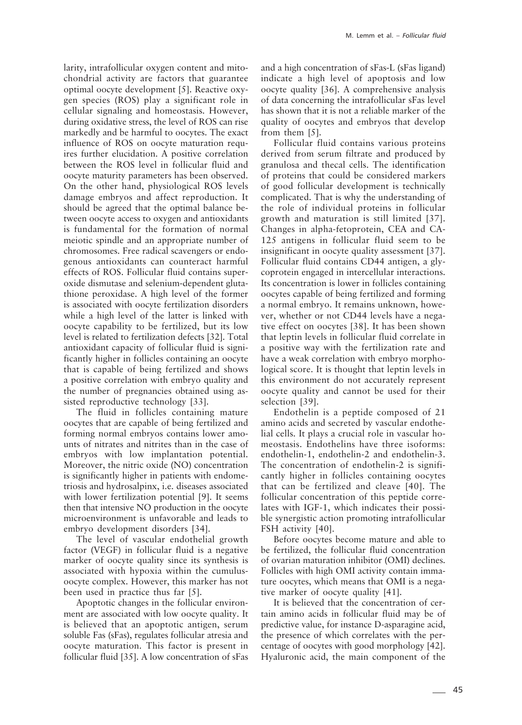larity, intrafollicular oxygen content and mitochondrial activity are factors that guarantee optimal oocyte development [5]. Reactive oxygen species (ROS) play a significant role in cellular signaling and homeostasis. However, during oxidative stress, the level of ROS can rise markedly and be harmful to oocytes. The exact influence of ROS on oocyte maturation requires further elucidation. A positive correlation between the ROS level in follicular fluid and oocyte maturity parameters has been observed. On the other hand, physiological ROS levels damage embryos and affect reproduction. It should be agreed that the optimal balance between oocyte access to oxygen and antioxidants is fundamental for the formation of normal meiotic spindle and an appropriate number of chromosomes. Free radical scavengers or endogenous antioxidants can counteract harmful effects of ROS. Follicular fluid contains superoxide dismutase and selenium-dependent glutathione peroxidase. A high level of the former is associated with oocyte fertilization disorders while a high level of the latter is linked with oocyte capability to be fertilized, but its low level is related to fertilization defects [32]. Total antioxidant capacity of follicular fluid is significantly higher in follicles containing an oocyte that is capable of being fertilized and shows a positive correlation with embryo quality and the number of pregnancies obtained using assisted reproductive technology [33].

The fluid in follicles containing mature oocytes that are capable of being fertilized and forming normal embryos contains lower amounts of nitrates and nitrites than in the case of embryos with low implantation potential. Moreover, the nitric oxide (NO) concentration is significantly higher in patients with endometriosis and hydrosalpinx, i.e. diseases associated with lower fertilization potential [9]. It seems then that intensive NO production in the oocyte microenvironment is unfavorable and leads to embryo development disorders [34].

The level of vascular endothelial growth factor (VEGF) in follicular fluid is a negative marker of oocyte quality since its synthesis is associated with hypoxia within the cumulusoocyte complex. However, this marker has not been used in practice thus far [5].

Apoptotic changes in the follicular environment are associated with low oocyte quality. It is believed that an apoptotic antigen, serum soluble Fas (sFas), regulates follicular atresia and oocyte maturation. This factor is present in follicular fluid [35]. A low concentration of sFas

and a high concentration of sFas-L (sFas ligand) indicate a high level of apoptosis and low oocyte quality [36]. A comprehensive analysis of data concerning the intrafollicular sFas level has shown that it is not a reliable marker of the quality of oocytes and embryos that develop from them [5].

M. Lemm et al. – *Follicular fluid*

Follicular fluid contains various proteins derived from serum filtrate and produced by granulosa and thecal cells. The identification of proteins that could be considered markers of good follicular development is technically complicated. That is why the understanding of the role of individual proteins in follicular growth and maturation is still limited [37]. Changes in alpha-fetoprotein, CEA and CA-125 antigens in follicular fluid seem to be insignificant in oocyte quality assessment [37]. Follicular fluid contains CD44 antigen, a glycoprotein engaged in intercellular interactions. Its concentration is lower in follicles containing oocytes capable of being fertilized and forming a normal embryo. It remains unknown, however, whether or not CD44 levels have a negative effect on oocytes [38]. It has been shown that leptin levels in follicular fluid correlate in a positive way with the fertilization rate and have a weak correlation with embryo morphological score. It is thought that leptin levels in this environment do not accurately represent oocyte quality and cannot be used for their selection [39].

Endothelin is a peptide composed of 21 amino acids and secreted by vascular endothelial cells. It plays a crucial role in vascular homeostasis. Endothelins have three isoforms: endothelin-1, endothelin-2 and endothelin-3. The concentration of endothelin-2 is significantly higher in follicles containing oocytes that can be fertilized and cleave [40]. The follicular concentration of this peptide correlates with IGF-1, which indicates their possible synergistic action promoting intrafollicular FSH activity [40].

Before oocytes become mature and able to be fertilized, the follicular fluid concentration of ovarian maturation inhibitor (OMI) declines. Follicles with high OMI activity contain immature oocytes, which means that OMI is a negative marker of oocyte quality [41].

It is believed that the concentration of certain amino acids in follicular fluid may be of predictive value, for instance D-asparagine acid, the presence of which correlates with the percentage of oocytes with good morphology [42]. Hyaluronic acid, the main component of the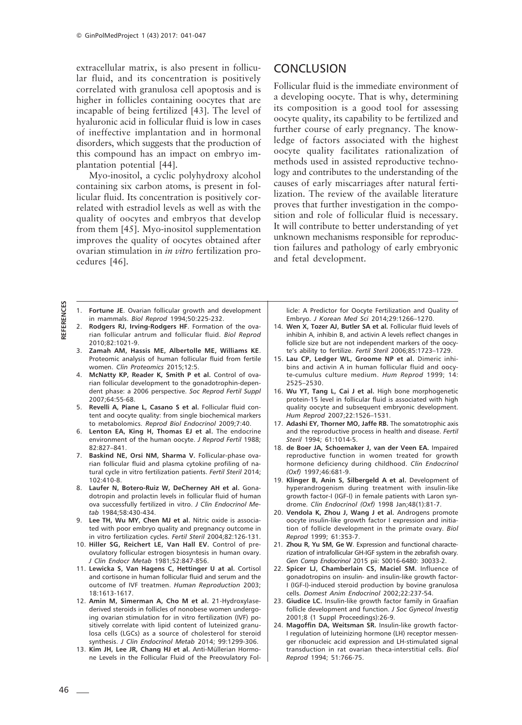extracellular matrix, is also present in follicular fluid, and its concentration is positively correlated with granulosa cell apoptosis and is higher in follicles containing oocytes that are incapable of being fertilized [43]. The level of hyaluronic acid in follicular fluid is low in cases of ineffective implantation and in hormonal disorders, which suggests that the production of this compound has an impact on embryo implantation potential [44].

Myo-inositol, a cyclic polyhydroxy alcohol containing six carbon atoms, is present in follicular fluid. Its concentration is positively correlated with estradiol levels as well as with the quality of oocytes and embryos that develop from them [45]. Myo-inositol supplementation improves the quality of oocytes obtained after ovarian stimulation in *in vitro* fertilization procedures [46].

## **CONCLUSION**

Follicular fluid is the immediate environment of a developing oocyte. That is why, determining its composition is a good tool for assessing oocyte quality, its capability to be fertilized and further course of early pregnancy. The knowledge of factors associated with the highest oocyte quality facilitates rationalization of methods used in assisted reproductive technology and contributes to the understanding of the causes of early miscarriages after natural fertilization. The review of the available literature proves that further investigation in the composition and role of follicular fluid is necessary. It will contribute to better understanding of yet unknown mechanisms responsible for reproduction failures and pathology of early embryonic and fetal development.

- 1. **Fortune JE**. Ovarian follicular growth and development in mammals. *Biol Reprod* 1994;50:225-232.
- 2. **Rodgers RJ, Irving-Rodgers HF**. Formation of the ovarian follicular antrum and follicular fluid. *Biol Reprod* 2010;82:1021-9.
- 3. **Zamah AM, Hassis ME, Albertolle ME, Williams KE**. Proteomic analysis of human follicular fluid from fertile women. *Clin Proteomics* 2015;12:5.
- 4. **McNatty KP, Reader K, Smith P et al.** Control of ovarian follicular development to the gonadotrophin-dependent phase: a 2006 perspective. *Soc Reprod Fertil Suppl* 2007;64:55-68.
- 5. **Revelli A, Piane L, Casano S et al.** Follicular fluid content and oocyte quality: from single biochemical markers to metabolomics. *Reprod Biol Endocrinol* 2009;7:40.
- 6. **Lenton EA, King H, Thomas EJ et al.** The endocrine environment of the human oocyte. *J Reprod Fertil* 1988; 82:827–841.
- 7. **Baskind NE, Orsi NM, Sharma V.** Follicular-phase ovarian follicular fluid and plasma cytokine profiling of natural cycle in vitro fertilization patients. *Fertil Steril* 2014;  $102.410 - 8$
- 8. **Laufer N, Botero-Ruiz W, DeCherney AH et al.** Gonadotropin and prolactin levels in follicular fluid of human ova successfully fertilized in vitro. *J Clin Endocrinol Metab* 1984;58:430-434.
- 9. **Lee TH, Wu MY, Chen MJ et al.** Nitric oxide is associated with poor embryo quality and pregnancy outcome in in vitro fertilization cycles. *Fertil Steril* 2004;82:126-131.
- 10. **Hiller SG, Reichert LE, Van Hall EV.** Control of preovulatory follicular estrogen biosyntesis in human ovary. *J Clin Endocr Metab* 1981;52:847-856.
- 11. **Lewicka S, Van Hagens C, Hettinger U at al.** Cortisol and cortisone in human follicular fluid and serum and the outcome of IVF treatmen. *Human Reproduction* 2003; 18:1613-1617.
- 12. **Amin M, Simerman A, Cho M et al.** 21-Hydroxylasederived steroids in follicles of nonobese women undergoing ovarian stimulation for in vitro fertilization (IVF) positively correlate with lipid content of luteinized granulosa cells (LGCs) as a source of cholesterol for steroid synthesis. *J Clin Endocrinol Metab* 2014; 99:1299-306.
- 13. **Kim JH, Lee JR, Chang HJ et al.** Anti-Müllerian Hormone Levels in the Follicular Fluid of the Preovulatory Fol-

licle: A Predictor for Oocyte Fertilization and Quality of Embryo. *J Korean Med Sci* 2014;29:1266–1270.

- 14. **Wen X, Tozer AJ, Butler SA et al.** Follicular fluid levels of inhibin A, inhibin B, and activin A levels reflect changes in follicle size but are not independent markers of the oocyte's ability to fertilize. *Fertil Steril* 2006;85:1723–1729.
- 15. **Lau CP, Ledger WL, Groome NP et al.** Dimeric inhibins and activin A in human follicular fluid and oocyte-cumulus culture medium. *Hum Reprod* 1999; 14: 2525–2530.
- 16. **Wu YT, Tang L, Cai J et al.** High bone morphogenetic protein-15 level in follicular fluid is associated with high quality oocyte and subsequent embryonic development. *Hum Reprod* 2007;22:1526–1531.
- 17. **Adashi EY, Thorner MO, Jaffe RB.** The somatotrophic axis and the reproductive process in health and disease. *Fertil Steril* 1994; 61:1014-5.
- 18. **de Boer JA, Schoemaker J, van der Veen EA.** Impaired reproductive function in women treated for growth hormone deficiency during childhood. *Clin Endocrinol (Oxf)* 1997;46:681-9.
- 19. **Klinger B, Anin S, Silbergeld A et al.** Development of hyperandrogenism during treatment with insulin-like growth factor-I (IGF-I) in female patients with Laron syndrome. *Clin Endocrinol (Oxf)* 1998 Jan;48(1):81-7.
- 20. **Vendola K, Zhou J, Wang J et al.** Androgens promote oocyte insulin-like growth factor I expression and initiation of follicle development in the primate ovary. *Biol Reprod* 1999; 61:353-7.
- 21. **Zhou R, Yu SM, Ge W**. Expression and functional characterization of intrafollicular GH-IGF system in the zebrafish ovary. *Gen Comp Endocrinol* 2015 pii: S0016-6480: 30033-2.
- 22. **Spicer LJ, Chamberlain CS, Maciel SM.** Influence of gonadotropins on insulin- and insulin-like growth factor-I (IGF-I)-induced steroid production by bovine granulosa cells. *Domest Anim Endocrinol* 2002;22:237-54.
- 23. **Giudice LC.** Insulin-like growth factor family in Graafian follicle development and function. *J Soc Gynecol Investig* 2001;8 (1 Suppl Proceedings):26-9.
- 24. **Magoffin DA, Weitsman SR.** Insulin-like growth factor-I regulation of luteinizing hormone (LH) receptor messenger ribonucleic acid expression and LH-stimulated signal transduction in rat ovarian theca-interstitial cells. *Biol Reprod* 1994; 51:766-75.